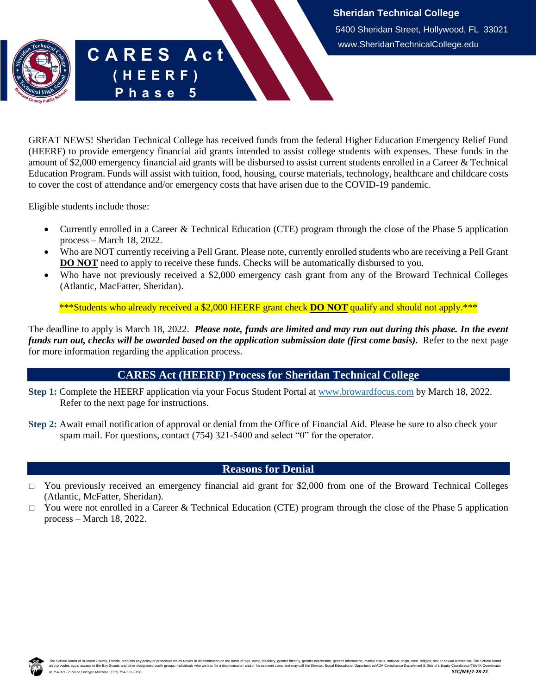## **C A R E S A c t ( H E E R F )** Phase

GREAT NEWS! Sheridan Technical College has received funds from the federal Higher Education Emergency Relief Fund (HEERF) to provide emergency financial aid grants intended to assist college students with expenses. These funds in the amount of \$2,000 emergency financial aid grants will be disbursed to assist current students enrolled in a Career & Technical Education Program. Funds will assist with tuition, food, housing, course materials, technology, healthcare and childcare costs to cover the cost of attendance and/or emergency costs that have arisen due to the COVID-19 pandemic.

Eligible students include those:

- Currently enrolled in a Career & Technical Education (CTE) program through the close of the Phase 5 application process – March 18, 2022.
- Who are NOT currently receiving a Pell Grant. Please note, currently enrolled students who are receiving a Pell Grant **DO NOT** need to apply to receive these funds. Checks will be automatically disbursed to you.
- Who have not previously received a \$2,000 emergency cash grant from any of the Broward Technical Colleges (Atlantic, MacFatter, Sheridan).

\*\*\*Students who already received a \$2,000 HEERF grant check **DO NOT** qualify and should not apply.\*\*\*

The deadline to apply is March 18, 2022. *Please note, funds are limited and may run out during this phase. In the event funds run out, checks will be awarded based on the application submission date (first come basis).* Refer to the next page for more information regarding the application process.

## **CARES Act (HEERF) Process for Sheridan Technical College**

- **Step 1:** Complete the HEERF application via your Focus Student Portal at [www.browardfocus.com](http://www.browardfocus.com/) by March 18, 2022. Refer to the next page for instructions.
- **Step 2:** Await email notification of approval or denial from the Office of Financial Aid. Please be sure to also check your spam mail. For questions, contact (754) 321-5400 and select "0" for the operator.

## **Reasons for Denial**

- $\Box$  You previously received an emergency financial aid grant for \$2,000 from one of the Broward Technical Colleges (Atlantic, McFatter, Sheridan).
- $\Box$  You were not enrolled in a Career & Technical Education (CTE) program through the close of the Phase 5 application process – March 18, 2022.